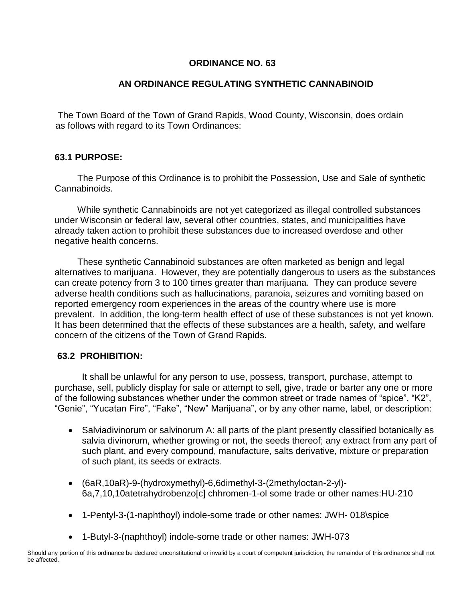# **ORDINANCE NO. 63**

## **AN ORDINANCE REGULATING SYNTHETIC CANNABINOID**

The Town Board of the Town of Grand Rapids, Wood County, Wisconsin, does ordain as follows with regard to its Town Ordinances:

### **63.1 PURPOSE:**

 The Purpose of this Ordinance is to prohibit the Possession, Use and Sale of synthetic Cannabinoids.

 While synthetic Cannabinoids are not yet categorized as illegal controlled substances under Wisconsin or federal law, several other countries, states, and municipalities have already taken action to prohibit these substances due to increased overdose and other negative health concerns.

 These synthetic Cannabinoid substances are often marketed as benign and legal alternatives to marijuana. However, they are potentially dangerous to users as the substances can create potency from 3 to 100 times greater than marijuana. They can produce severe adverse health conditions such as hallucinations, paranoia, seizures and vomiting based on reported emergency room experiences in the areas of the country where use is more prevalent. In addition, the long-term health effect of use of these substances is not yet known. It has been determined that the effects of these substances are a health, safety, and welfare concern of the citizens of the Town of Grand Rapids.

### **63.2 PROHIBITION:**

It shall be unlawful for any person to use, possess, transport, purchase, attempt to purchase, sell, publicly display for sale or attempt to sell, give, trade or barter any one or more of the following substances whether under the common street or trade names of "spice", "K2", "Genie", "Yucatan Fire", "Fake", "New" Marijuana", or by any other name, label, or description:

- Salviadivinorum or salvinorum A: all parts of the plant presently classified botanically as salvia divinorum, whether growing or not, the seeds thereof; any extract from any part of such plant, and every compound, manufacture, salts derivative, mixture or preparation of such plant, its seeds or extracts.
- (6aR,10aR)-9-(hydroxymethyl)-6,6dimethyl-3-(2methyloctan-2-yl)- 6a,7,10,10atetrahydrobenzo[c] chhromen-1-ol some trade or other names:HU-210
- 1-Pentyl-3-(1-naphthoyl) indole-some trade or other names: JWH- 018\spice
- 1-Butyl-3-(naphthoyl) indole-some trade or other names: JWH-073